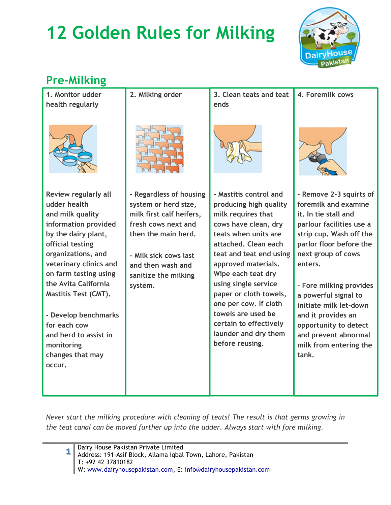# 12 Golden Rules for Milking



### Pre-Milking

| 1. Monitor udder<br>health regularly | 2. Milking order         | 3. Clean teats and teat<br>ends                 | 4. Foremilk cows                            |
|--------------------------------------|--------------------------|-------------------------------------------------|---------------------------------------------|
|                                      |                          |                                                 |                                             |
| Review regularly all                 | - Regardless of housing  | - Mastitis control and                          | - Remove 2-3 squirts of                     |
| udder health                         | system or herd size,     | producing high quality                          | foremilk and examine                        |
| and milk quality                     | milk first calf heifers, | milk requires that                              | it. In tie stall and                        |
| information provided                 | fresh cows next and      | cows have clean, dry                            | parlour facilities use a                    |
| by the dairy plant,                  | then the main herd.      | teats when units are                            | strip cup. Wash off the                     |
| official testing                     |                          | attached. Clean each                            | parlor floor before the                     |
| organizations, and                   | - Milk sick cows last    | teat and teat end using                         | next group of cows                          |
| veterinary clinics and               | and then wash and        | approved materials.                             | enters.                                     |
| on farm testing using                | sanitize the milking     | Wipe each teat dry                              |                                             |
| the Avita California                 | system.                  | using single service                            | - Fore milking provides                     |
| <b>Mastitis Test (CMT).</b>          |                          | paper or cloth towels,<br>one per cow. If cloth | a powerful signal to                        |
|                                      |                          | towels are used be                              | initiate milk let-down                      |
| - Develop benchmarks<br>for each cow |                          | certain to effectively                          | and it provides an<br>opportunity to detect |
| and herd to assist in                |                          | launder and dry them                            | and prevent abnormal                        |
| monitoring                           |                          | before reusing.                                 | milk from entering the                      |
| changes that may                     |                          |                                                 | tank.                                       |
| occur.                               |                          |                                                 |                                             |
|                                      |                          |                                                 |                                             |
|                                      |                          |                                                 |                                             |
|                                      |                          |                                                 |                                             |

Never start the milking procedure with cleaning of teats! The result is that germs growing in the teat canal can be moved further up into the udder. Always start with fore milking.

| 1 Dairy House Pakistan Private Limited<br>Address: 191-Asif Block, Allama Iqbal Town, Lahore, Pakistan |  |  |  |  |
|--------------------------------------------------------------------------------------------------------|--|--|--|--|
| $\vert$ T: +92 42 37810182                                                                             |  |  |  |  |
| W: www.dairyhousepakistan.com, E: info@dairyhousepakistan.com                                          |  |  |  |  |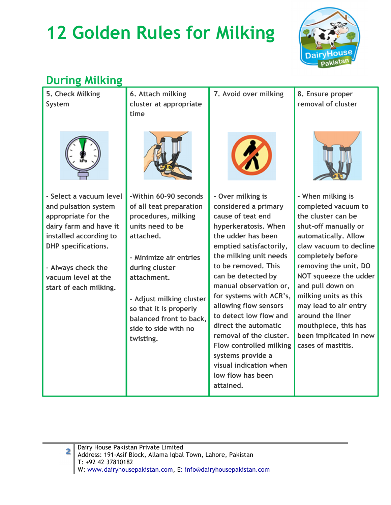## 12 Golden Rules for Milking



### During Milking

| 5. Check Milking                                                                                                                                                                                                                | 6. Attach milking                                                                                                                                                                                                                                                                         | 7. Avoid over milking                                                                                                                                                                                                                                                                                                                                                                                                                                      | 8. Ensure proper                                                                                                                                                                                                                                                                                                                                                                  |
|---------------------------------------------------------------------------------------------------------------------------------------------------------------------------------------------------------------------------------|-------------------------------------------------------------------------------------------------------------------------------------------------------------------------------------------------------------------------------------------------------------------------------------------|------------------------------------------------------------------------------------------------------------------------------------------------------------------------------------------------------------------------------------------------------------------------------------------------------------------------------------------------------------------------------------------------------------------------------------------------------------|-----------------------------------------------------------------------------------------------------------------------------------------------------------------------------------------------------------------------------------------------------------------------------------------------------------------------------------------------------------------------------------|
| System                                                                                                                                                                                                                          | cluster at appropriate<br>time                                                                                                                                                                                                                                                            |                                                                                                                                                                                                                                                                                                                                                                                                                                                            | removal of cluster                                                                                                                                                                                                                                                                                                                                                                |
|                                                                                                                                                                                                                                 |                                                                                                                                                                                                                                                                                           |                                                                                                                                                                                                                                                                                                                                                                                                                                                            |                                                                                                                                                                                                                                                                                                                                                                                   |
| - Select a vacuum level<br>and pulsation system<br>appropriate for the<br>dairy farm and have it<br>installed according to<br><b>DHP</b> specifications.<br>- Always check the<br>vacuum level at the<br>start of each milking. | -Within 60-90 seconds<br>of all teat preparation<br>procedures, milking<br>units need to be<br>attached.<br>- Minimize air entries<br>during cluster<br>attachment.<br>- Adjust milking cluster<br>so that it is properly<br>balanced front to back,<br>side to side with no<br>twisting. | - Over milking is<br>considered a primary<br>cause of teat end<br>hyperkeratosis. When<br>the udder has been<br>emptied satisfactorily,<br>the milking unit needs<br>to be removed. This<br>can be detected by<br>manual observation or,<br>for systems with ACR's,<br>allowing flow sensors<br>to detect low flow and<br>direct the automatic<br>removal of the cluster.<br><b>Flow controlled milking</b><br>systems provide a<br>visual indication when | - When milking is<br>completed vacuum to<br>the cluster can be<br>shut-off manually or<br>automatically. Allow<br>claw vacuum to decline<br>completely before<br>removing the unit. DO<br>NOT squeeze the udder<br>and pull down on<br>milking units as this<br>may lead to air entry<br>around the liner<br>mouthpiece, this has<br>been implicated in new<br>cases of mastitis. |
|                                                                                                                                                                                                                                 |                                                                                                                                                                                                                                                                                           | low flow has been<br>attained.                                                                                                                                                                                                                                                                                                                                                                                                                             |                                                                                                                                                                                                                                                                                                                                                                                   |